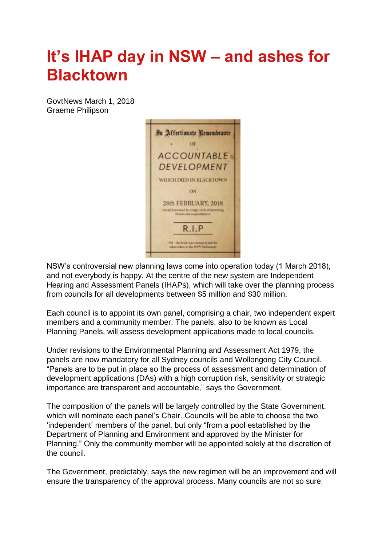## **It's IHAP day in NSW – and ashes for Blacktown**

GovtNews March 1, 2018 Graeme Philipson



NSW's controversial new planning laws come into operation today (1 March 2018), and not everybody is happy. At the centre of the new system are Independent Hearing and Assessment Panels (IHAPs), which will take over the planning process from councils for all developments between \$5 million and \$30 million.

Each council is to appoint its own panel, comprising a chair, two independent expert members and a community member. The panels, also to be known as Local Planning Panels, will assess development applications made to local councils.

Under revisions to the Environmental Planning and Assessment Act 1979, the panels are now mandatory for all Sydney councils and Wollongong City Council. "Panels are to be put in place so the process of assessment and determination of development applications (DAs) with a high corruption risk, sensitivity or strategic importance are transparent and accountable," says the Government.

The composition of the panels will be largely controlled by the State Government, which will nominate each panel's Chair. Councils will be able to choose the two 'independent' members of the panel, but only "from a pool established by the Department of Planning and Environment and approved by the Minister for Planning." Only the community member will be appointed solely at the discretion of the council.

The Government, predictably, says the new regimen will be an improvement and will ensure the transparency of the approval process. Many councils are not so sure.